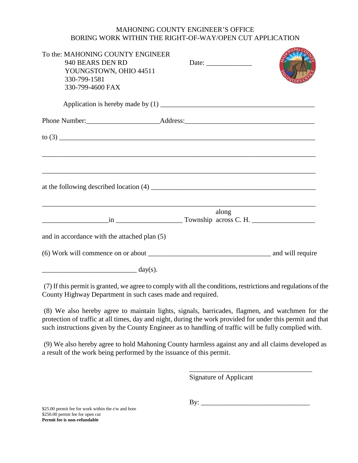## MAHONING COUNTY ENGINEER'S OFFICE BORING WORK WITHIN THE RIGHT-OF-WAY/OPEN CUT APPLICATION

| To the: MAHONING COUNTY ENGINEER<br>940 BEARS DEN RD<br>YOUNGSTOWN, OHIO 44511<br>330-799-1581<br>330-799-4600 FAX   | Date: $\qquad \qquad$ |  |
|----------------------------------------------------------------------------------------------------------------------|-----------------------|--|
|                                                                                                                      |                       |  |
|                                                                                                                      |                       |  |
|                                                                                                                      |                       |  |
|                                                                                                                      |                       |  |
|                                                                                                                      |                       |  |
|                                                                                                                      |                       |  |
|                                                                                                                      |                       |  |
|                                                                                                                      |                       |  |
| <u> 1989 - Andrea Santa Andrea Andrea Andrea Andrea Andrea Andrea Andrea Andrea Andrea Andrea Andrea Andrea Andr</u> | along                 |  |
| $\frac{1}{2}$ in $\frac{1}{2}$ Township across C. H.                                                                 |                       |  |
| and in accordance with the attached plan (5)                                                                         |                       |  |
|                                                                                                                      |                       |  |
| $\frac{1}{\text{day(s)}}$                                                                                            |                       |  |

(7) If this permit is granted, we agree to comply with all the conditions, restrictions and regulations of the County Highway Department in such cases made and required.

(8) We also hereby agree to maintain lights, signals, barricades, flagmen, and watchmen for the protection of traffic at all times, day and night, during the work provided for under this permit and that such instructions given by the County Engineer as to handling of traffic will be fully complied with.

(9) We also hereby agree to hold Mahoning County harmless against any and all claims developed as a result of the work being performed by the issuance of this permit.

Signature of Applicant

 $\mathbf{B} \mathbf{y}$ :

\_\_\_\_\_\_\_\_\_\_\_\_\_\_\_\_\_\_\_\_\_\_\_\_\_\_\_\_\_\_\_\_\_\_\_

\$25.00 permit fee for work within the r/w and bore \$250.00 permit fee for open cut **Permit fee is non-refundable**